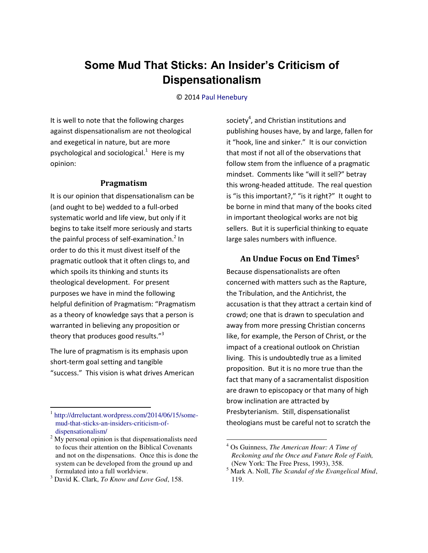# **Some Mud That Sticks: An Insider's Criticism of Dispensationalism**

#### © 201[4 Paul Henebury](http://www.spiritandtruth.org/id/ph.htm)

It is well to note that the following charges against dispensationalism are not theological and exegetical in nature, but are more psychological and sociological. $1$  Here is my opinion:

## **Pragmatism**

It is our opinion that dispensationalism can be (and ought to be) wedded to a full-orbed systematic world and life view, but only if it begins to take itself more seriously and starts the painful process of self-examination.<sup>2</sup> In order to do this it must divest itself of the pragmatic outlook that it often clings to, and which spoils its thinking and stunts its theological development. For present purposes we have in mind the following helpful definition of Pragmatism: "Pragmatism as a theory of knowledge says that a person is warranted in believing any proposition or theory that produces good results."<sup>3</sup>

The lure of pragmatism is its emphasis upon short-term goal setting and tangible "success." This vision is what drives American

 $\overline{a}$ 

society<sup>4</sup>, and Christian institutions and publishing houses have, by and large, fallen for it "hook, line and sinker." It is our conviction that most if not all of the observations that follow stem from the influence of a pragmatic mindset. Comments like "will it sell?" betray this wrong-headed attitude. The real question is "is this important?," "is it right?" It ought to be borne in mind that many of the books cited in important theological works are not big sellers. But it is superficial thinking to equate large sales numbers with influence.

## **An Undue Focus on End Times<sup>5</sup>**

Because dispensationalists are often concerned with matters such as the Rapture, the Tribulation, and the Antichrist, the accusation is that they attract a certain kind of crowd; one that is drawn to speculation and away from more pressing Christian concerns like, for example, the Person of Christ, or the impact of a creational outlook on Christian living. This is undoubtedly true as a limited proposition. But it is no more true than the fact that many of a sacramentalist disposition are drawn to episcopacy or that many of high brow inclination are attracted by Presbyterianism. Still, dispensationalist theologians must be careful not to scratch the

l

<sup>1</sup> [http://drreluctant.wordpress.com/2014/06/15/some](http://drreluctant.wordpress.com/2014/06/15/some-mud-that-sticks-an-insiders-criticism-of-dispensationalism/)[mud-that-sticks-an-insiders-criticism-of](http://drreluctant.wordpress.com/2014/06/15/some-mud-that-sticks-an-insiders-criticism-of-dispensationalism/)[dispensationalism/](http://drreluctant.wordpress.com/2014/06/15/some-mud-that-sticks-an-insiders-criticism-of-dispensationalism/)

 $2^2$  My personal opinion is that dispensationalists need to focus their attention on the Biblical Covenants and not on the dispensations. Once this is done the system can be developed from the ground up and formulated into a full worldview.

<sup>3</sup> David K. Clark, *To Know and Love God*, 158.

<sup>4</sup> Os Guinness, *The American Hour: A Time of Reckoning and the Once and Future Role of Faith,*  (New York: The Free Press, 1993), 358.

<sup>5</sup> Mark A. Noll, *The Scandal of the Evangelical Mind*, 119.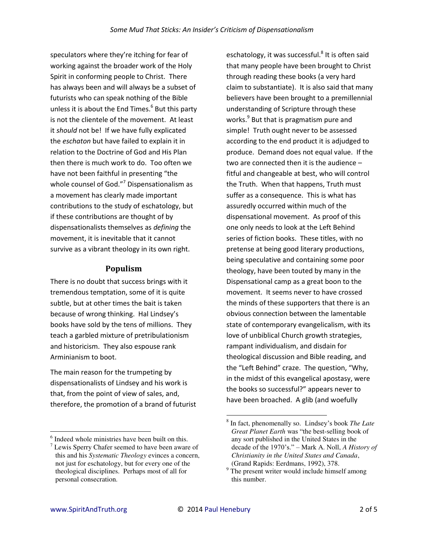speculators where they're itching for fear of working against the broader work of the Holy Spirit in conforming people to Christ. There has always been and will always be a subset of futurists who can speak nothing of the Bible unless it is about the End Times.<sup>6</sup> But this party is not the clientele of the movement. At least it *should* not be! If we have fully explicated the *eschaton* but have failed to explain it in relation to the Doctrine of God and His Plan then there is much work to do. Too often we have not been faithful in presenting "the whole counsel of God. $^{\prime\prime}$  Dispensationalism as a movement has clearly made important contributions to the study of eschatology, but if these contributions are thought of by dispensationalists themselves as *defining* the movement, it is inevitable that it cannot survive as a vibrant theology in its own right.

## **Populism**

There is no doubt that success brings with it tremendous temptation, some of it is quite subtle, but at other times the bait is taken because of wrong thinking. Hal Lindsey's books have sold by the tens of millions. They teach a garbled mixture of pretribulationism and historicism. They also espouse rank Arminianism to boot.

The main reason for the trumpeting by dispensationalists of Lindsey and his work is that, from the point of view of sales, and, therefore, the promotion of a brand of futurist

eschatology, it was successful.<sup>8</sup> It is often said that many people have been brought to Christ through reading these books (a very hard claim to substantiate). It is also said that many believers have been brought to a premillennial understanding of Scripture through these works.<sup>9</sup> But that is pragmatism pure and simple! Truth ought never to be assessed according to the end product it is adjudged to produce. Demand does not equal value. If the two are connected then it is the audience – fitful and changeable at best, who will control the Truth. When that happens, Truth must suffer as a consequence. This is what has assuredly occurred within much of the dispensational movement. As proof of this one only needs to look at the Left Behind series of fiction books. These titles, with no pretense at being good literary productions, being speculative and containing some poor theology, have been touted by many in the Dispensational camp as a great boon to the movement. It seems never to have crossed the minds of these supporters that there is an obvious connection between the lamentable state of contemporary evangelicalism, with its love of unbiblical Church growth strategies, rampant individualism, and disdain for theological discussion and Bible reading, and the "Left Behind" craze. The question, "Why, in the midst of this evangelical apostasy, were the books so successful?" appears never to have been broached. A glib (and woefully

 $\overline{a}$ 

l <sup>6</sup> Indeed whole ministries have been built on this.

 $7$  Lewis Sperry Chafer seemed to have been aware of this and his *Systematic Theology* evinces a concern, not just for eschatology, but for every one of the theological disciplines. Perhaps most of all for personal consecration.

<sup>8</sup> In fact, phenomenally so. Lindsey's book *The Late Great Planet Earth* was "the best-selling book of any sort published in the United States in the decade of the 1970's." – Mark A. Noll, *A History of Christianity in the United States and Canada*, (Grand Rapids: Eerdmans, 1992), 378.

<sup>&</sup>lt;sup>9</sup> The present writer would include himself among this number.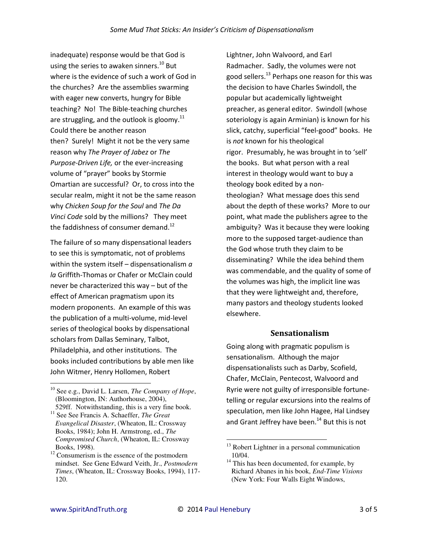inadequate) response would be that God is using the series to awaken sinners.<sup>10</sup> But where is the evidence of such a work of God in the churches? Are the assemblies swarming with eager new converts, hungry for Bible teaching? No! The Bible-teaching churches are struggling, and the outlook is gloomy.<sup>11</sup> Could there be another reason then? Surely! Might it not be the very same reason why The Prayer of Jabez or The Purpose-Driven Life, or the ever-increasing volume of "prayer" books by Stormie Omartian are successful? Or, to cross into the secular realm, might it not be the same reason why Chicken Soup for the Soul and The Da Vinci Code sold by the millions? They meet the faddishness of consumer demand.<sup>12</sup>

The failure of so many dispensational leaders to see this is symptomatic, not of problems within the system itself  $-$  dispensationalism  $a$ la Griffith-Thomas or Chafer or McClain could never be characterized this way - but of the effect of American pragmatism upon its modern proponents. An example of this was the publication of a multi-volume, mid-level series of theological books by dispensational scholars from Dallas Seminary, Talbot, Philadelphia, and other institutions. The books included contributions by able men like John Witmer, Henry Hollomen, Robert

Lightner, John Walvoord, and Earl Radmacher. Sadly, the volumes were not good sellers.<sup>13</sup> Perhaps one reason for this was the decision to have Charles Swindoll, the popular but academically lightweight preacher, as general editor. Swindoll (whose soteriology is again Arminian) is known for his slick, catchy, superficial "feel-good" books. He is not known for his theological rigor. Presumably, he was brought in to 'sell' the books. But what person with a real interest in theology would want to buy a theology book edited by a nontheologian? What message does this send about the depth of these works? More to our point, what made the publishers agree to the ambiguity? Was it because they were looking more to the supposed target-audience than the God whose truth they claim to be disseminating? While the idea behind them was commendable, and the quality of some of the volumes was high, the implicit line was that they were lightweight and, therefore, many pastors and theology students looked elsewhere.

## **Sensationalism**

Going along with pragmatic populism is sensationalism. Although the major dispensationalists such as Darby, Scofield, Chafer, McClain, Pentecost, Walvoord and Ryrie were not guilty of irresponsible fortunetelling or regular excursions into the realms of speculation, men like John Hagee, Hal Lindsey and Grant Jeffrey have been.<sup>14</sup> But this is not

<sup>&</sup>lt;sup>10</sup> See e.g., David L. Larsen, *The Company of Hope*, (Bloomington, IN: Authorhouse, 2004),

<sup>529</sup>ff. Notwithstanding, this is a very fine book. <sup>11</sup> See See Francis A. Schaeffer, *The Great* Evangelical Disaster, (Wheaton, IL: Crossway Books, 1984); John H. Armstrong, ed., The Compromised Church, (Wheaton, IL: Crossway Books, 1998).

 $12$  Consumerism is the essence of the postmodern mindset. See Gene Edward Veith, Jr., Postmodern Times, (Wheaton, IL: Crossway Books, 1994), 117-120.

<sup>&</sup>lt;sup>13</sup> Robert Lightner in a personal communication 10/04.

<sup>&</sup>lt;sup>14</sup> This has been documented, for example, by Richard Abanes in his book, End-Time Visions (New York: Four Walls Eight Windows,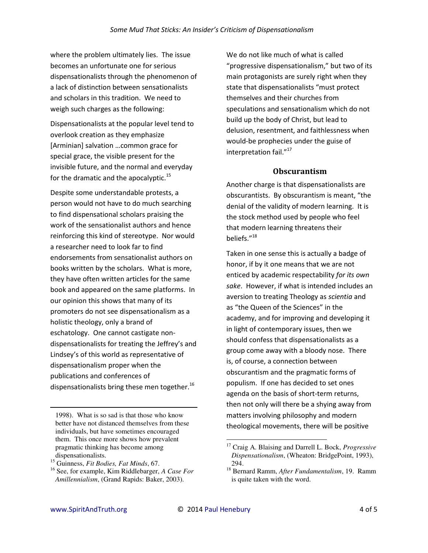where the problem ultimately lies. The issue becomes an unfortunate one for serious dispensationalists through the phenomenon of a lack of distinction between sensationalists and scholars in this tradition. We need to weigh such charges as the following:

Dispensationalists at the popular level tend to overlook creation as they emphasize [Arminian] salvation ... common grace for special grace, the visible present for the invisible future, and the normal and everyday for the dramatic and the apocalyptic.<sup>15</sup>

Despite some understandable protests, a person would not have to do much searching to find dispensational scholars praising the work of the sensationalist authors and hence reinforcing this kind of stereotype. Nor would a researcher need to look far to find endorsements from sensationalist authors on books written by the scholars. What is more, they have often written articles for the same book and appeared on the same platforms. In our opinion this shows that many of its promoters do not see dispensationalism as a holistic theology, only a brand of eschatology. One cannot castigate nondispensationalists for treating the Jeffrey's and Lindsey's of this world as representative of dispensationalism proper when the publications and conferences of dispensationalists bring these men together.<sup>16</sup>

1998). What is so sad is that those who know better have not distanced themselves from these individuals, but have sometimes encouraged them. This once more shows how prevalent pragmatic thinking has become among dispensationalists.

We do not like much of what is called "progressive dispensationalism," but two of its main protagonists are surely right when they state that dispensationalists "must protect themselves and their churches from speculations and sensationalism which do not build up the body of Christ, but lead to delusion, resentment, and faithlessness when would-be prophecies under the guise of interpretation fail."<sup>17</sup>

## **Obscurantism**

Another charge is that dispensationalists are obscurantists. By obscurantism is meant, "the denial of the validity of modern learning. It is the stock method used by people who feel that modern learning threatens their beliefs."<sup>18</sup>

Taken in one sense this is actually a badge of honor, if by it one means that we are not enticed by academic respectability for its own sake. However, if what is intended includes an aversion to treating Theology as scientia and as "the Queen of the Sciences" in the academy, and for improving and developing it in light of contemporary issues, then we should confess that dispensationalists as a group come away with a bloody nose. There is, of course, a connection between obscurantism and the pragmatic forms of populism. If one has decided to set ones agenda on the basis of short-term returns, then not only will there be a shying away from matters involving philosophy and modern theological movements, there will be positive

<sup>&</sup>lt;sup>15</sup> Guinness, Fit Bodies, Fat Minds, 67.

<sup>&</sup>lt;sup>16</sup> See, for example, Kim Riddlebarger, A Case For Amillennialism, (Grand Rapids: Baker, 2003).

<sup>&</sup>lt;sup>17</sup> Craig A. Blaising and Darrell L. Bock, *Progressive* Dispensationalism, (Wheaton: BridgePoint, 1993), 294.

<sup>&</sup>lt;sup>18</sup> Bernard Ramm, After Fundamentalism, 19. Ramm is quite taken with the word.